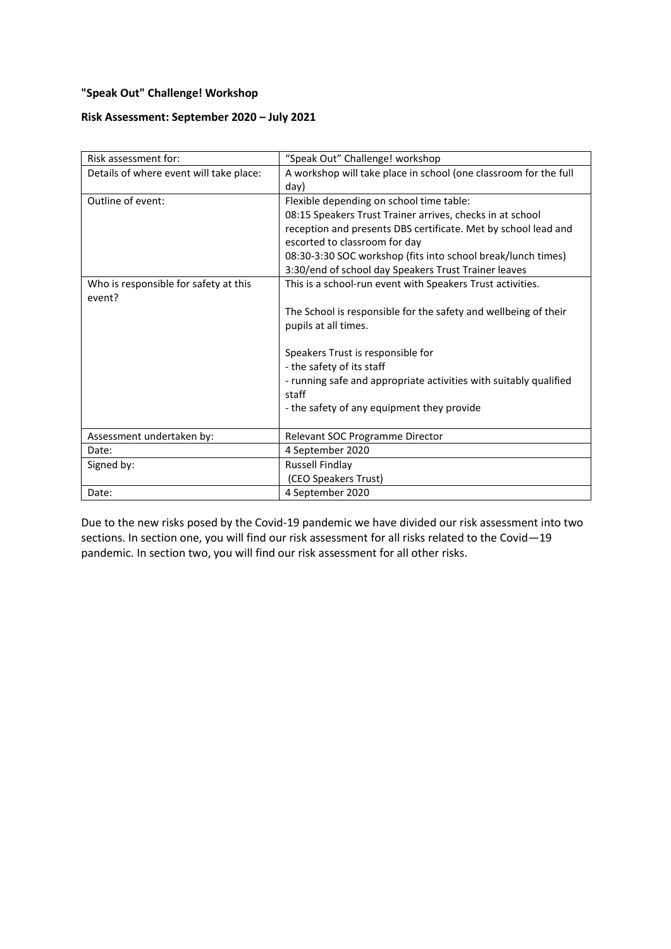# **"Speak Out" Challenge! Workshop**

## **Risk Assessment: September 2020 – July 2021**

| Risk assessment for:                    | "Speak Out" Challenge! workshop                                   |
|-----------------------------------------|-------------------------------------------------------------------|
| Details of where event will take place: | A workshop will take place in school (one classroom for the full  |
|                                         | day)                                                              |
| Outline of event:                       | Flexible depending on school time table:                          |
|                                         | 08:15 Speakers Trust Trainer arrives, checks in at school         |
|                                         | reception and presents DBS certificate. Met by school lead and    |
|                                         | escorted to classroom for day                                     |
|                                         | 08:30-3:30 SOC workshop (fits into school break/lunch times)      |
|                                         | 3:30/end of school day Speakers Trust Trainer leaves              |
| Who is responsible for safety at this   | This is a school-run event with Speakers Trust activities.        |
| event?                                  |                                                                   |
|                                         | The School is responsible for the safety and wellbeing of their   |
|                                         | pupils at all times.                                              |
|                                         |                                                                   |
|                                         | Speakers Trust is responsible for                                 |
|                                         | - the safety of its staff                                         |
|                                         | - running safe and appropriate activities with suitably qualified |
|                                         | staff                                                             |
|                                         | - the safety of any equipment they provide                        |
|                                         |                                                                   |
| Assessment undertaken by:               | Relevant SOC Programme Director                                   |
| Date:                                   | 4 September 2020                                                  |
| Signed by:                              | <b>Russell Findlay</b>                                            |
|                                         | (CEO Speakers Trust)                                              |
| Date:                                   | 4 September 2020                                                  |

Due to the new risks posed by the Covid-19 pandemic we have divided our risk assessment into two sections. In section one, you will find our risk assessment for all risks related to the Covid—19 pandemic. In section two, you will find our risk assessment for all other risks.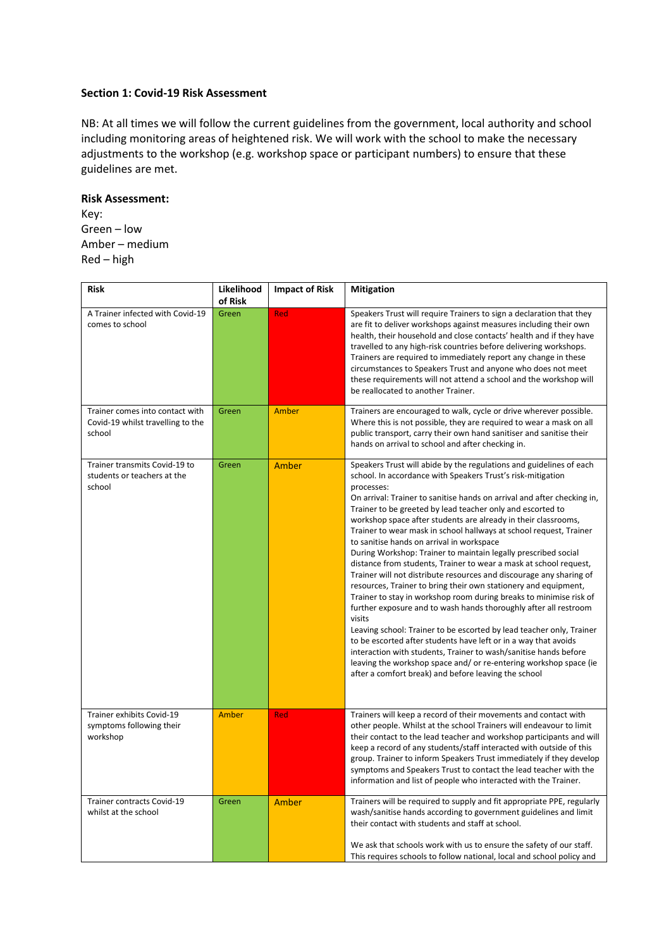### **Section 1: Covid-19 Risk Assessment**

NB: At all times we will follow the current guidelines from the government, local authority and school including monitoring areas of heightened risk. We will work with the school to make the necessary adjustments to the workshop (e.g. workshop space or participant numbers) to ensure that these guidelines are met.

#### **Risk Assessment:**

Key: Green – low Amber – medium Red – high

| <b>Risk</b>                                                                    | Likelihood<br>of Risk | <b>Impact of Risk</b> | Mitigation                                                                                                                                                                                                                                                                                                                                                                                                                                                                                                                                                                                                                                                                                                                                                                                                                                                                                                                                                                                                                                                                                                                                                                                                                                                      |
|--------------------------------------------------------------------------------|-----------------------|-----------------------|-----------------------------------------------------------------------------------------------------------------------------------------------------------------------------------------------------------------------------------------------------------------------------------------------------------------------------------------------------------------------------------------------------------------------------------------------------------------------------------------------------------------------------------------------------------------------------------------------------------------------------------------------------------------------------------------------------------------------------------------------------------------------------------------------------------------------------------------------------------------------------------------------------------------------------------------------------------------------------------------------------------------------------------------------------------------------------------------------------------------------------------------------------------------------------------------------------------------------------------------------------------------|
| A Trainer infected with Covid-19<br>comes to school                            | Green                 | Red                   | Speakers Trust will require Trainers to sign a declaration that they<br>are fit to deliver workshops against measures including their own<br>health, their household and close contacts' health and if they have<br>travelled to any high-risk countries before delivering workshops.<br>Trainers are required to immediately report any change in these<br>circumstances to Speakers Trust and anyone who does not meet<br>these requirements will not attend a school and the workshop will<br>be reallocated to another Trainer.                                                                                                                                                                                                                                                                                                                                                                                                                                                                                                                                                                                                                                                                                                                             |
| Trainer comes into contact with<br>Covid-19 whilst travelling to the<br>school | Green                 | Amber                 | Trainers are encouraged to walk, cycle or drive wherever possible.<br>Where this is not possible, they are required to wear a mask on all<br>public transport, carry their own hand sanitiser and sanitise their<br>hands on arrival to school and after checking in.                                                                                                                                                                                                                                                                                                                                                                                                                                                                                                                                                                                                                                                                                                                                                                                                                                                                                                                                                                                           |
| Trainer transmits Covid-19 to<br>students or teachers at the<br>school         | Green                 | Amber                 | Speakers Trust will abide by the regulations and guidelines of each<br>school. In accordance with Speakers Trust's risk-mitigation<br>processes:<br>On arrival: Trainer to sanitise hands on arrival and after checking in,<br>Trainer to be greeted by lead teacher only and escorted to<br>workshop space after students are already in their classrooms,<br>Trainer to wear mask in school hallways at school request, Trainer<br>to sanitise hands on arrival in workspace<br>During Workshop: Trainer to maintain legally prescribed social<br>distance from students, Trainer to wear a mask at school request,<br>Trainer will not distribute resources and discourage any sharing of<br>resources, Trainer to bring their own stationery and equipment,<br>Trainer to stay in workshop room during breaks to minimise risk of<br>further exposure and to wash hands thoroughly after all restroom<br>visits<br>Leaving school: Trainer to be escorted by lead teacher only, Trainer<br>to be escorted after students have left or in a way that avoids<br>interaction with students, Trainer to wash/sanitise hands before<br>leaving the workshop space and/ or re-entering workshop space (ie<br>after a comfort break) and before leaving the school |
| Trainer exhibits Covid-19<br>symptoms following their<br>workshop              | Amber                 | Red                   | Trainers will keep a record of their movements and contact with<br>other people. Whilst at the school Trainers will endeavour to limit<br>their contact to the lead teacher and workshop participants and will<br>keep a record of any students/staff interacted with outside of this<br>group. Trainer to inform Speakers Trust immediately if they develop<br>symptoms and Speakers Trust to contact the lead teacher with the<br>information and list of people who interacted with the Trainer.                                                                                                                                                                                                                                                                                                                                                                                                                                                                                                                                                                                                                                                                                                                                                             |
| Trainer contracts Covid-19<br>whilst at the school                             | Green                 | Amber                 | Trainers will be required to supply and fit appropriate PPE, regularly<br>wash/sanitise hands according to government guidelines and limit<br>their contact with students and staff at school.<br>We ask that schools work with us to ensure the safety of our staff.<br>This requires schools to follow national, local and school policy and                                                                                                                                                                                                                                                                                                                                                                                                                                                                                                                                                                                                                                                                                                                                                                                                                                                                                                                  |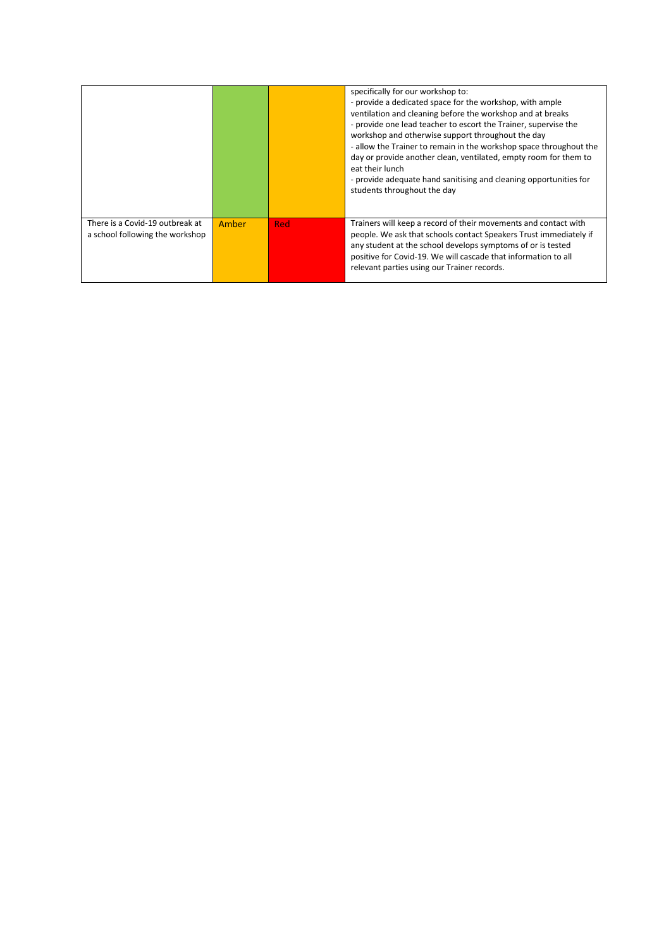|                                                                    |       |     | specifically for our workshop to:<br>- provide a dedicated space for the workshop, with ample<br>ventilation and cleaning before the workshop and at breaks<br>- provide one lead teacher to escort the Trainer, supervise the<br>workshop and otherwise support throughout the day<br>- allow the Trainer to remain in the workshop space throughout the<br>day or provide another clean, ventilated, empty room for them to<br>eat their lunch<br>- provide adequate hand sanitising and cleaning opportunities for<br>students throughout the day |
|--------------------------------------------------------------------|-------|-----|------------------------------------------------------------------------------------------------------------------------------------------------------------------------------------------------------------------------------------------------------------------------------------------------------------------------------------------------------------------------------------------------------------------------------------------------------------------------------------------------------------------------------------------------------|
| There is a Covid-19 outbreak at<br>a school following the workshop | Amber | Red | Trainers will keep a record of their movements and contact with<br>people. We ask that schools contact Speakers Trust immediately if<br>any student at the school develops symptoms of or is tested<br>positive for Covid-19. We will cascade that information to all<br>relevant parties using our Trainer records.                                                                                                                                                                                                                                 |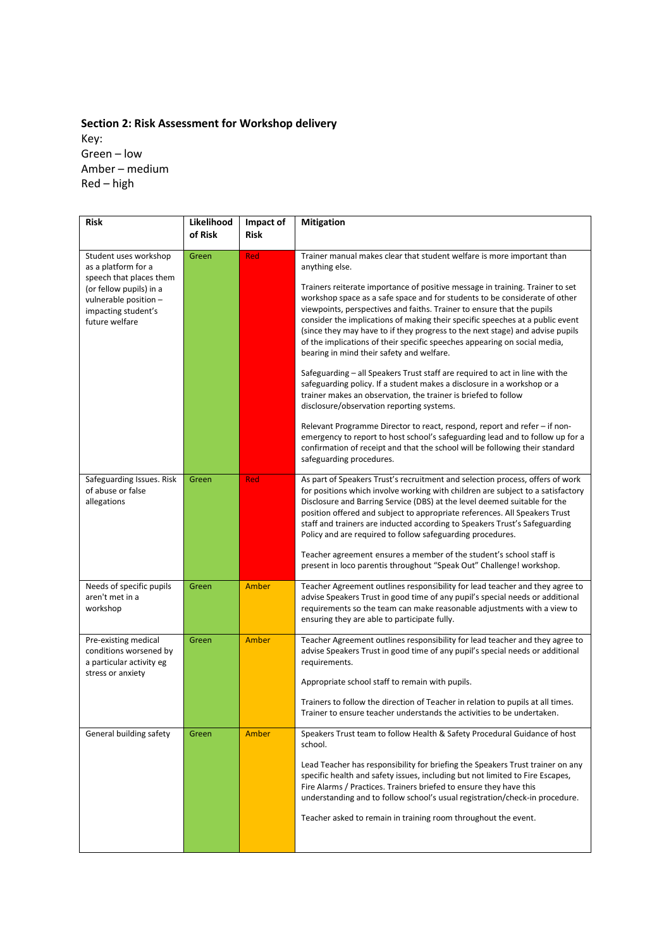# **Section 2: Risk Assessment for Workshop delivery** Key: Green – low Amber – medium Red – high

| <b>Risk</b>                                                                                                                                                          | Likelihood<br>of Risk | Impact of<br><b>Risk</b> | <b>Mitigation</b>                                                                                                                                                                                                                                                                                                                                                                                                                                                                                                                 |
|----------------------------------------------------------------------------------------------------------------------------------------------------------------------|-----------------------|--------------------------|-----------------------------------------------------------------------------------------------------------------------------------------------------------------------------------------------------------------------------------------------------------------------------------------------------------------------------------------------------------------------------------------------------------------------------------------------------------------------------------------------------------------------------------|
| Student uses workshop<br>as a platform for a<br>speech that places them<br>(or fellow pupils) in a<br>vulnerable position -<br>impacting student's<br>future welfare | Green                 | Red                      | Trainer manual makes clear that student welfare is more important than<br>anything else.                                                                                                                                                                                                                                                                                                                                                                                                                                          |
|                                                                                                                                                                      |                       |                          | Trainers reiterate importance of positive message in training. Trainer to set<br>workshop space as a safe space and for students to be considerate of other<br>viewpoints, perspectives and faiths. Trainer to ensure that the pupils<br>consider the implications of making their specific speeches at a public event<br>(since they may have to if they progress to the next stage) and advise pupils<br>of the implications of their specific speeches appearing on social media,<br>bearing in mind their safety and welfare. |
|                                                                                                                                                                      |                       |                          | Safeguarding – all Speakers Trust staff are required to act in line with the<br>safeguarding policy. If a student makes a disclosure in a workshop or a<br>trainer makes an observation, the trainer is briefed to follow<br>disclosure/observation reporting systems.                                                                                                                                                                                                                                                            |
|                                                                                                                                                                      |                       |                          | Relevant Programme Director to react, respond, report and refer – if non-<br>emergency to report to host school's safeguarding lead and to follow up for a<br>confirmation of receipt and that the school will be following their standard<br>safeguarding procedures.                                                                                                                                                                                                                                                            |
| Safeguarding Issues. Risk<br>of abuse or false<br>allegations                                                                                                        | Green                 | Red                      | As part of Speakers Trust's recruitment and selection process, offers of work<br>for positions which involve working with children are subject to a satisfactory<br>Disclosure and Barring Service (DBS) at the level deemed suitable for the<br>position offered and subject to appropriate references. All Speakers Trust<br>staff and trainers are inducted according to Speakers Trust's Safeguarding<br>Policy and are required to follow safeguarding procedures.                                                           |
|                                                                                                                                                                      |                       |                          | Teacher agreement ensures a member of the student's school staff is<br>present in loco parentis throughout "Speak Out" Challenge! workshop.                                                                                                                                                                                                                                                                                                                                                                                       |
| Needs of specific pupils<br>aren't met in a<br>workshop                                                                                                              | Green                 | Amber                    | Teacher Agreement outlines responsibility for lead teacher and they agree to<br>advise Speakers Trust in good time of any pupil's special needs or additional<br>requirements so the team can make reasonable adjustments with a view to<br>ensuring they are able to participate fully.                                                                                                                                                                                                                                          |
| Pre-existing medical<br>conditions worsened by<br>a particular activity eg                                                                                           | Green                 | Amber                    | Teacher Agreement outlines responsibility for lead teacher and they agree to<br>advise Speakers Trust in good time of any pupil's special needs or additional<br>requirements.                                                                                                                                                                                                                                                                                                                                                    |
| stress or anxiety                                                                                                                                                    |                       |                          | Appropriate school staff to remain with pupils.                                                                                                                                                                                                                                                                                                                                                                                                                                                                                   |
|                                                                                                                                                                      |                       |                          | Trainers to follow the direction of Teacher in relation to pupils at all times.<br>Trainer to ensure teacher understands the activities to be undertaken.                                                                                                                                                                                                                                                                                                                                                                         |
| General building safety                                                                                                                                              | Green                 | Amber                    | Speakers Trust team to follow Health & Safety Procedural Guidance of host<br>school.                                                                                                                                                                                                                                                                                                                                                                                                                                              |
|                                                                                                                                                                      |                       |                          | Lead Teacher has responsibility for briefing the Speakers Trust trainer on any<br>specific health and safety issues, including but not limited to Fire Escapes,<br>Fire Alarms / Practices. Trainers briefed to ensure they have this<br>understanding and to follow school's usual registration/check-in procedure.                                                                                                                                                                                                              |
|                                                                                                                                                                      |                       |                          | Teacher asked to remain in training room throughout the event.                                                                                                                                                                                                                                                                                                                                                                                                                                                                    |